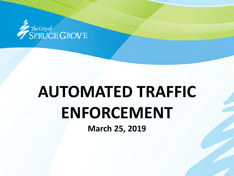

# **AUTOMATED TRAFFIC ENFORCEMENT**

**March 25, 2019**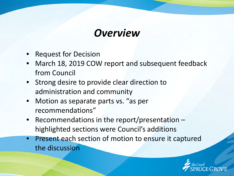### *Overview*

- Request for Decision
- March 18, 2019 COW report and subsequent feedback from Council
- Strong desire to provide clear direction to administration and community
- Motion as separate parts vs. "as per recommendations"
- Recommendations in the report/presentation  $$ highlighted sections were Council's additions
- Present each section of motion to ensure it captured the discussion

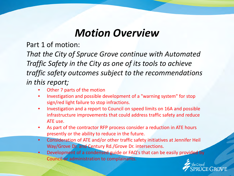Part 1 of motion:

*That the City of Spruce Grove continue with Automated Traffic Safety in the City as one of its tools to achieve traffic safety outcomes subject to the recommendations in this report;*

- Other 7 parts of the motion
- Investigation and possible development of a "warning system" for stop sign/red light failure to stop infractions.
- Investigation and a report to Council on speed limits on 16A and possible infrastructure improvements that could address traffic safety and reduce ATE use.
- As part of the contractor RFP process consider a reduction in ATE hours presently or the ability to reduce in the future.
- Consideration of ATE and/or other traffic safety initiatives at Jennifer Heil Way/Grove Dr. and Century Rd./Grove Dr. intersections.
- Development of a condensed guide or FAQ's that can be easily provided by Council or administration to complainants.

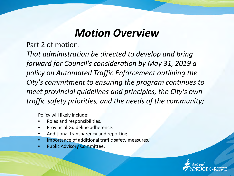Part 2 of motion:

*That administration be directed to develop and bring forward for Council's consideration by May 31, 2019 a policy on Automated Traffic Enforcement outlining the City's commitment to ensuring the program continues to meet provincial guidelines and principles, the City's own traffic safety priorities, and the needs of the community;*

Policy will likely include:

- Roles and responsibilities.
- Provincial Guideline adherence.
- Additional transparency and reporting.
- Importance of additional traffic safety measures.
- Public Advisory Committee.

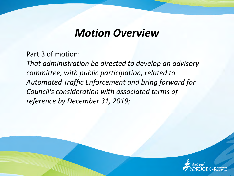Part 3 of motion:

*That administration be directed to develop an advisory committee, with public participation, related to Automated Traffic Enforcement and bring forward for Council's consideration with associated terms of reference by December 31, 2019;*

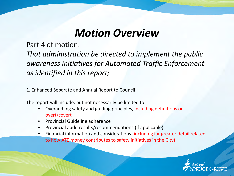Part 4 of motion:

*That administration be directed to implement the public awareness initiatives for Automated Traffic Enforcement as identified in this report;*

1. Enhanced Separate and Annual Report to Council

The report will include, but not necessarily be limited to:

- Overarching safety and guiding principles, including definitions on overt/covert
- Provincial Guideline adherence
- Provincial audit results/recommendations (if applicable)
- Financial information and considerations (including far greater detail related to how ATE money contributes to safety initiatives in the City)

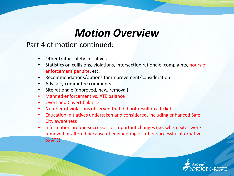### Part 4 of motion continued:

- Other traffic safety initiatives
- Statistics on collisions, violations, intersection rationale, complaints, hours of enforcement per site, etc.
- Recommendations/options for improvement/consideration
- Advisory committee comments
- Site rationale (approved, new, removal)
- Manned enforcement vs. ATE balance
- Overt and Covert balance
- Number of violations observed that did not result in a ticket
- Education initiatives undertaken and considered, including enhanced Safe City awareness
- Information around successes or important changes (i.e. where sites were removed or altered because of engineering or other successful alternatives to ATE)

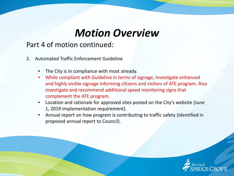### Part 4 of motion continued:

- 2. Automated Traffic Enforcement Guideline
	- The City is in compliance with most already.
	- While compliant with Guideline in terms of signage, investigate enhanced and highly visible signage informing citizens and visitors of ATE program. Also investigate and recommend additional speed monitoring signs that complement the ATE program.
	- Location and rationale for approved sites posted on the City's website (June 1, 2019 implementation requirement).
	- Annual report on how program is contributing to traffic safety (identified in proposed annual report to Council).

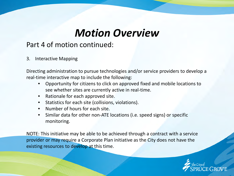### Part 4 of motion continued:

#### 3. Interactive Mapping

Directing administration to pursue technologies and/or service providers to develop a real-time interactive map to include the following:

- Opportunity for citizens to click on approved fixed and mobile locations to see whether sites are currently active in real-time.
- Rationale for each approved site.
- Statistics for each site (collisions, violations).
- Number of hours for each site.
- Similar data for other non-ATE locations (i.e. speed signs) or specific monitoring.

NOTE: This initiative may be able to be achieved through a contract with a service provider or may require a Corporate Plan initiative as the City does not have the existing resources to develop at this time.

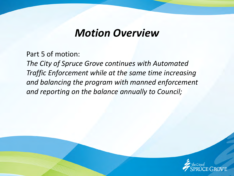Part 5 of motion:

*The City of Spruce Grove continues with Automated Traffic Enforcement while at the same time increasing and balancing the program with manned enforcement and reporting on the balance annually to Council;*

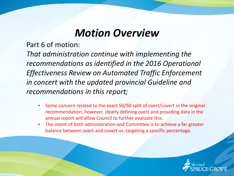Part 6 of motion:

*That administration continue with implementing the recommendations as identified in the 2016 Operational Effectiveness Review on Automated Traffic Enforcement in concert with the updated provincial Guideline and recommendations in this report;*

- Some concern related to the exact 50/50 split of overt/covert in the original recommendation; however, clearly defining overt and providing data in the annual report will allow Council to further evaluate this.
- The intent of both administration and Committee is to achieve a far greater balance between overt and covert vs. targeting a specific percentage.

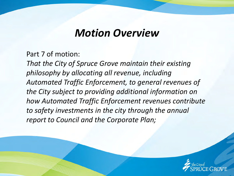Part 7 of motion:

*That the City of Spruce Grove maintain their existing philosophy by allocating all revenue, including Automated Traffic Enforcement, to general revenues of the City subject to providing additional information on how Automated Traffic Enforcement revenues contribute to safety investments in the city through the annual report to Council and the Corporate Plan;*